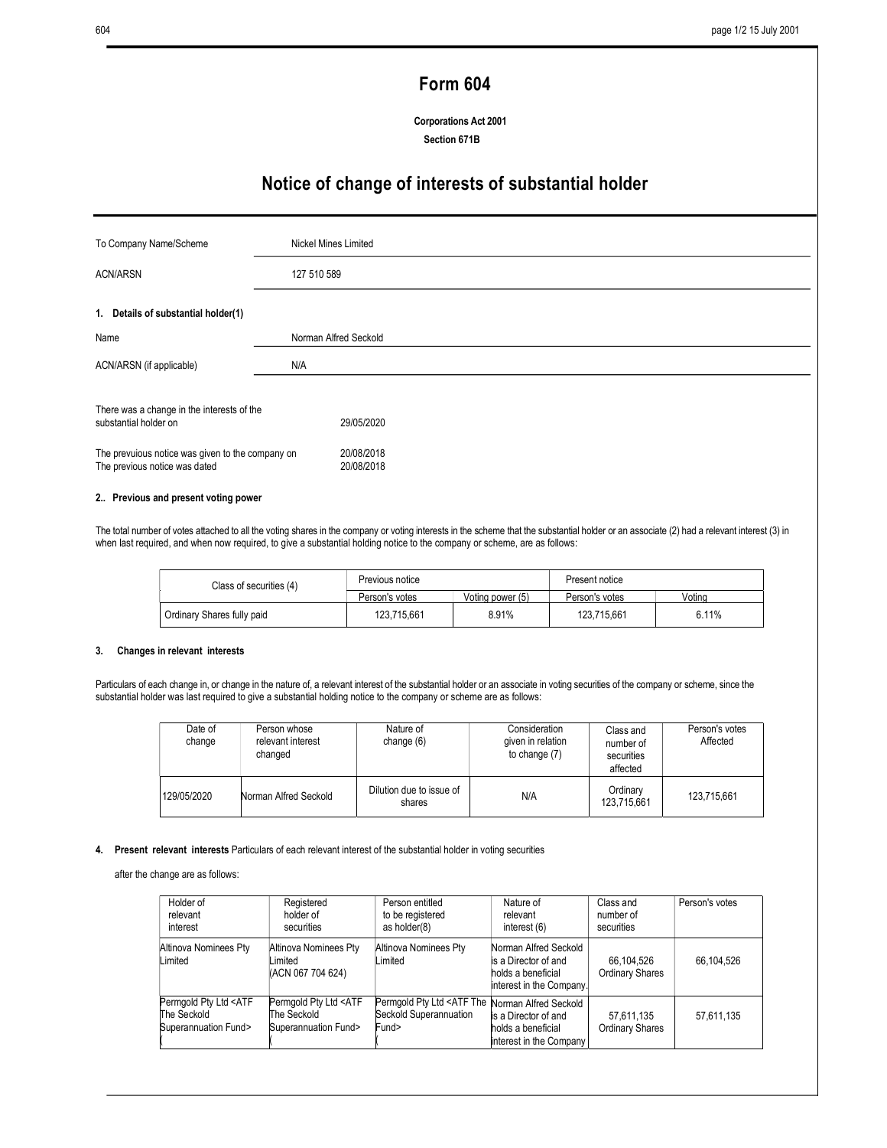# Form 604

Corporations Act 2001 Section 671B

# Notice of change of interests of substantial holder

| To Company Name/Scheme                                                                                                                                   | Nickel Mines Limited                   |  |
|----------------------------------------------------------------------------------------------------------------------------------------------------------|----------------------------------------|--|
| <b>ACN/ARSN</b>                                                                                                                                          | 127 510 589                            |  |
| 1. Details of substantial holder(1)                                                                                                                      |                                        |  |
| Name                                                                                                                                                     | Norman Alfred Seckold                  |  |
| ACN/ARSN (if applicable)                                                                                                                                 | N/A                                    |  |
| There was a change in the interests of the<br>substantial holder on<br>The prevuious notice was given to the company on<br>The previous notice was dated | 29/05/2020<br>20/08/2018<br>20/08/2018 |  |

### 2.. Previous and present voting power

The total number of votes attached to all the voting shares in the company or voting interests in the scheme that the substantial holder or an associate (2) had a relevant interest (3) in when last required, and when now required, to give a substantial holding notice to the company or scheme, are as follows:

| Class of securities (4)    | Previous notice |                  | Present notice |        |
|----------------------------|-----------------|------------------|----------------|--------|
|                            | Person's votes  | Voting power (5) | Person's votes | Votina |
| Ordinary Shares fully paid | 123.715.661     | 8.91%            | 123.715.661    | 6.11%  |

#### 3. Changes in relevant interests

Particulars of each change in, or change in the nature of, a relevant interest of the substantial holder or an associate in voting securities of the company or scheme, since the substantial holder was last required to give a substantial holding notice to the company or scheme are as follows:

| Date of<br>change | Person whose<br>relevant interest<br>changed | Nature of<br>change $(6)$          | Consideration<br>given in relation<br>to change (7) | Class and<br>number of<br>securities<br>affected | Person's votes<br>Affected |
|-------------------|----------------------------------------------|------------------------------------|-----------------------------------------------------|--------------------------------------------------|----------------------------|
| 129/05/2020       | Norman Alfred Seckold                        | Dilution due to issue of<br>shares | N/A                                                 | Ordinary<br>123,715,661                          | 123,715,661                |

#### 4. Present relevant interests Particulars of each relevant interest of the substantial holder in voting securities

after the change are as follows:

| Holder of<br>relevant<br>interest                                         | Registered<br>holder of<br>securities                                     | Person entitled<br>to be registered<br>as holder(8)                       | Nature of<br>relevant<br>interest (6)                                                           | Class and<br>number of<br>securities | Person's votes |
|---------------------------------------------------------------------------|---------------------------------------------------------------------------|---------------------------------------------------------------------------|-------------------------------------------------------------------------------------------------|--------------------------------------|----------------|
| Altinova Nominees Pty<br>Limited                                          | Altinova Nominees Pty<br>Limited<br>(ACN 067 704 624)                     | Altinova Nominees Pty<br>Limited                                          | Norman Alfred Seckold<br>is a Director of and<br>holds a beneficial<br>interest in the Company. | 66,104,526<br>Ordinary Shares        | 66,104,526     |
| Permgold Pty Ltd <atf<br>The Seckold<br/>Superannuation Fund&gt;</atf<br> | Permgold Pty Ltd <atf<br>The Seckold<br/>Superannuation Fund&gt;</atf<br> | Permgold Pty Ltd <atf the<br="">Seckold Superannuation<br/>Fund&gt;</atf> | Norman Alfred Seckold<br>is a Director of and<br>holds a beneficial<br>interest in the Company  | 57,611,135<br>Ordinary Shares        | 57,611,135     |